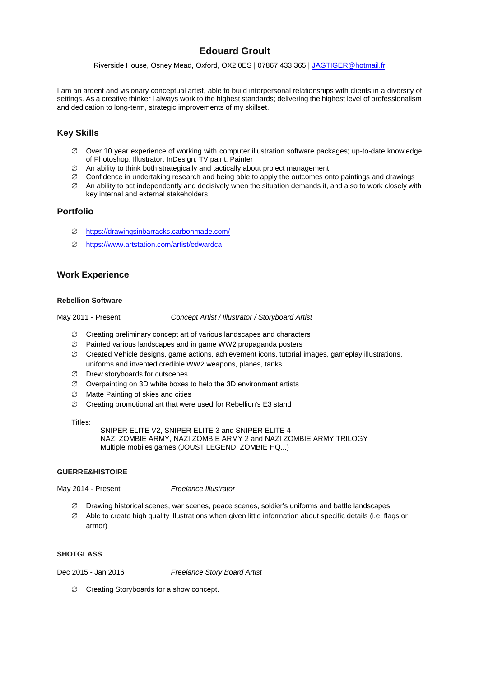# **Edouard Groult**

Riverside House, Osney Mead, Oxford, OX2 0ES | 07867 433 365 | [JAGTIGER@hotmail.fr](mailto:JAGTIGER@hotmail.fr)

I am an ardent and visionary conceptual artist, able to build interpersonal relationships with clients in a diversity of settings. As a creative thinker I always work to the highest standards; delivering the highest level of professionalism and dedication to long-term, strategic improvements of my skillset.

# **Key Skills**

- $\varnothing$  Over 10 year experience of working with computer illustration software packages; up-to-date knowledge of Photoshop, Illustrator, InDesign, TV paint, Painter
- $\varnothing$  An ability to think both strategically and tactically about project management
- $\varnothing$  Confidence in undertaking research and being able to apply the outcomes onto paintings and drawings
- $\varnothing$  An ability to act independently and decisively when the situation demands it, and also to work closely with key internal and external stakeholders

## **Portfolio**

- <https://drawingsinbarracks.carbonmade.com/>
- <https://www.artstation.com/artist/edwardca>

# **Work Experience**

#### **Rebellion Software**

May 2011 - Present *Concept Artist / Illustrator / Storyboard Artist*

- $\varnothing$  Creating preliminary concept art of various landscapes and characters
- $\varnothing$  Painted various landscapes and in game WW2 propaganda posters
- $\varnothing$  Created Vehicle designs, game actions, achievement icons, tutorial images, gameplay illustrations, uniforms and invented credible WW2 weapons, planes, tanks
- $\emptyset$  Drew storyboards for cutscenes
- $\varnothing$  Overpainting on 3D white boxes to help the 3D environment artists
- $\varnothing$  Matte Painting of skies and cities
- $\varnothing$  Creating promotional art that were used for Rebellion's E3 stand

Titles:

SNIPER ELITE V2, SNIPER ELITE 3 and SNIPER ELITE 4 NAZI ZOMBIE ARMY, NAZI ZOMBIE ARMY 2 and NAZI ZOMBIE ARMY TRILOGY Multiple mobiles games (JOUST LEGEND, ZOMBIE HQ...)

#### **GUERRE&HISTOIRE**

May 2014 - Present *Freelance Illustrator*

- $\varnothing$  Drawing historical scenes, war scenes, peace scenes, soldier's uniforms and battle landscapes.
- $\varnothing$  Able to create high quality illustrations when given little information about specific details (i.e. flags or armor)

#### **SHOTGLASS**

Dec 2015 - Jan 2016 *Freelance Story Board Artist*

 $\emptyset$  Creating Storyboards for a show concept.